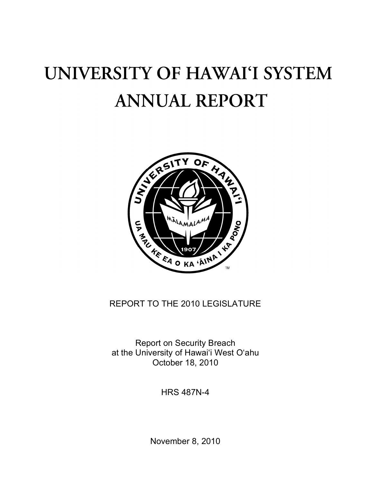# UNIVERSITY OF HAWAI'I SYSTEM **ANNUAL REPORT**



## REPORT TO THE 2010 LEGISLATURE

Report on Security Breach at the University of Hawai'i West O'ahu October 18, 2010

HRS 487N-4

November 8, 2010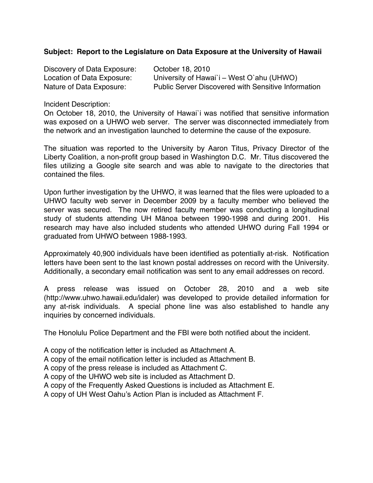## **Subject: Report to the Legislature on Data Exposure at the University of Hawaii**

| Discovery of Data Exposure: | October 18, 2010                                           |
|-----------------------------|------------------------------------------------------------|
| Location of Data Exposure:  | University of Hawai'i – West O'ahu (UHWO)                  |
| Nature of Data Exposure:    | <b>Public Server Discovered with Sensitive Information</b> |

Incident Description:

On October 18, 2010, the University of Hawai`i was notified that sensitive information was exposed on a UHWO web server. The server was disconnected immediately from the network and an investigation launched to determine the cause of the exposure.

The situation was reported to the University by Aaron Titus, Privacy Director of the Liberty Coalition, a non-profit group based in Washington D.C. Mr. Titus discovered the files utilizing a Google site search and was able to navigate to the directories that contained the files.

Upon further investigation by the UHWO, it was learned that the files were uploaded to a UHWO faculty web server in December 2009 by a faculty member who believed the server was secured. The now retired faculty member was conducting a longitudinal study of students attending UH Mānoa between 1990-1998 and during 2001. His research may have also included students who attended UHWO during Fall 1994 or graduated from UHWO between 1988-1993.

Approximately 40,900 individuals have been identified as potentially at-risk. Notification letters have been sent to the last known postal addresses on record with the University. Additionally, a secondary email notification was sent to any email addresses on record.

A press release was issued on October 28, 2010 and a web site (http://www.uhwo.hawaii.edu/idaler) was developed to provide detailed information for any at-risk individuals. A special phone line was also established to handle any inquiries by concerned individuals.

The Honolulu Police Department and the FBI were both notified about the incident.

A copy of the notification letter is included as Attachment A.

A copy of the email notification letter is included as Attachment B.

A copy of the press release is included as Attachment C.

A copy of the UHWO web site is included as Attachment D.

A copy of the Frequently Asked Questions is included as Attachment E.

A copy of UH West Oahu's Action Plan is included as Attachment F.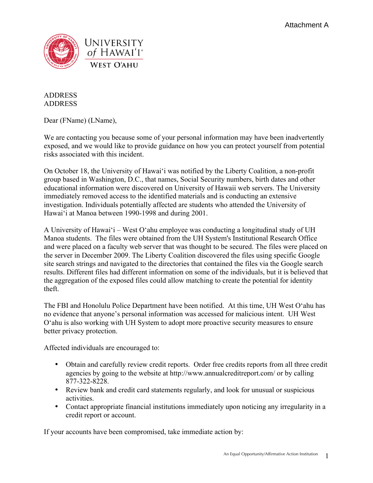

## ADDRESS ADDRESS

Dear (FName) (LName),

We are contacting you because some of your personal information may have been inadvertently exposed, and we would like to provide guidance on how you can protect yourself from potential risks associated with this incident.

On October 18, the University of Hawai'i was notified by the Liberty Coalition, a non-profit group based in Washington, D.C., that names, Social Security numbers, birth dates and other educational information were discovered on University of Hawaii web servers. The University immediately removed access to the identified materials and is conducting an extensive investigation. Individuals potentially affected are students who attended the University of Hawai'i at Manoa between 1990-1998 and during 2001.

A University of Hawai'i – West O'ahu employee was conducting a longitudinal study of UH Manoa students. The files were obtained from the UH System's Institutional Research Office and were placed on a faculty web server that was thought to be secured. The files were placed on the server in December 2009. The Liberty Coalition discovered the files using specific Google site search strings and navigated to the directories that contained the files via the Google search results. Different files had different information on some of the individuals, but it is believed that the aggregation of the exposed files could allow matching to create the potential for identity theft.

The FBI and Honolulu Police Department have been notified. At this time, UH West O'ahu has no evidence that anyone's personal information was accessed for malicious intent. UH West O'ahu is also working with UH System to adopt more proactive security measures to ensure better privacy protection.

Affected individuals are encouraged to:

- Obtain and carefully review credit reports. Order free credits reports from all three credit agencies by going to the website at http://www.annualcreditreport.com/ or by calling 877-322-8228.
- Review bank and credit card statements regularly, and look for unusual or suspicious activities.
- Contact appropriate financial institutions immediately upon noticing any irregularity in a credit report or account.

If your accounts have been compromised, take immediate action by: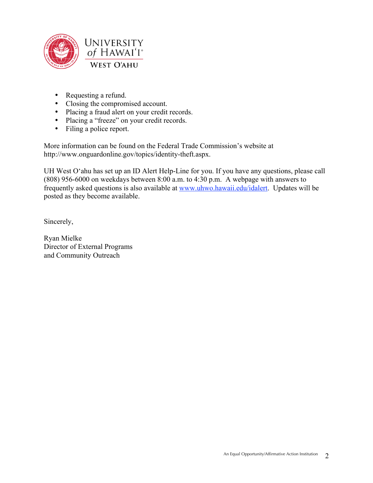

- Requesting a refund.
- Closing the compromised account.
- Placing a fraud alert on your credit records.
- Placing a "freeze" on your credit records.
- Filing a police report.

More information can be found on the Federal Trade Commission's website at http://www.onguardonline.gov/topics/identity-theft.aspx.

UH West O'ahu has set up an ID Alert Help-Line for you. If you have any questions, please call (808) 956-6000 on weekdays between 8:00 a.m. to 4:30 p.m. A webpage with answers to frequently asked questions is also available at www.uhwo.hawaii.edu/idalert. Updates will be posted as they become available.

Sincerely,

Ryan Mielke Director of External Programs and Community Outreach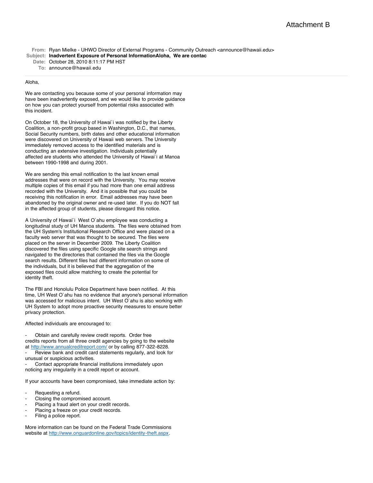From: Ryan Mielke - UHWO Director of External Programs - Community Outreach <announce@hawaii.edu> **Subject: Inadvertent Exposure of Personal InformationAloha, We are contac**

**Date:** October 28, 2010 8:11:17 PM HST

**To:** announce@hawaii.edu

#### Aloha,

We are contacting you because some of your personal information may have been inadvertently exposed, and we would like to provide guidance on how you can protect yourself from potential risks associated with this incident.

On October 18, the University of Hawai`i was notified by the Liberty Coalition, a non-profit group based in Washington, D.C., that names, Social Security numbers, birth dates and other educational information were discovered on University of Hawaii web servers. The University immediately removed access to the identified materials and is conducting an extensive investigation. Individuals potentially affected are students who attended the University of Hawai`i at Manoa between 1990-1998 and during 2001.

We are sending this email notification to the last known email addresses that were on record with the University. You may receive multiple copies of this email if you had more than one email address recorded with the University. And it is possible that you could be receiving this notification in error. Email addresses may have been abandoned by the original owner and re-used later. If you do NOT fall in the affected group of students, please disregard this notice.

A University of Hawai`i West O`ahu employee was conducting a longitudinal study of UH Manoa students. The files were obtained from the UH System's Institutional Research Office and were placed on a faculty web server that was thought to be secured. The files were placed on the server in December 2009. The Liberty Coalition discovered the files using specific Google site search strings and navigated to the directories that contained the files via the Google search results. Different files had different information on some of the individuals, but it is believed that the aggregation of the exposed files could allow matching to create the potential for identity theft.

The FBI and Honolulu Police Department have been notified. At this time, UH West O`ahu has no evidence that anyone's personal information was accessed for malicious intent. UH West O`ahu is also working with UH System to adopt more proactive security measures to ensure better privacy protection.

Affected individuals are encouraged to:

Obtain and carefully review credit reports. Order free credits reports from all three credit agencies by going to the website at<http://www.annualcreditreport.com/> or by calling 877-322-8228. Review bank and credit card statements regularly, and look for unusual or suspicious activities.

Contact appropriate financial institutions immediately upon noticing any irregularity in a credit report or account.

If your accounts have been compromised, take immediate action by:

- Requesting a refund.
- Closing the compromised account.
- Placing a fraud alert on your credit records.
- Placing a freeze on your credit records.
- Filing a police report.

More information can be found on the Federal Trade Commissions website at<http://www.onguardonline.gov/topics/identity-theft.aspx>.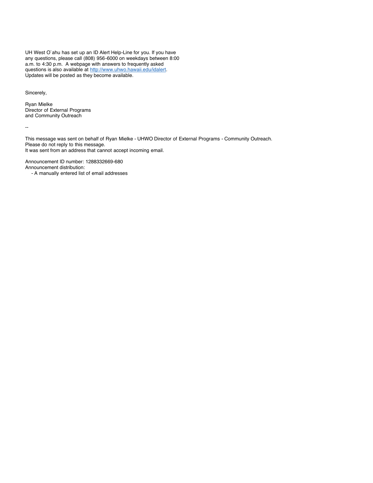UH West O`ahu has set up an ID Alert Help-Line for you. If you have any questions, please call (808) 956-6000 on weekdays between 8:00 a.m. to 4:30 p.m. A webpage with answers to frequently asked questions is also available at [http://www.uhwo.hawaii.edu/idalert.](http://www.uhwo.hawaii.edu/idalert) Updates will be posted as they become available.

Sincerely,

Ryan Mielke Director of External Programs and Community Outreach

--

This message was sent on behalf of Ryan Mielke - UHWO Director of External Programs - Community Outreach. Please do not reply to this message. It was sent from an address that cannot accept incoming email.

Announcement ID number: 1288332669-680 Announcement distribution:

- A manually entered list of email addresses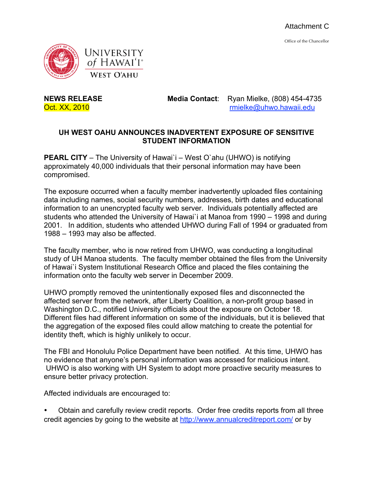Office of the Chancellor



**NEWS RELEASE Media Contact**: Ryan Mielke, (808) 454-4735 Oct. XX, 2010 rmielke@uhwo.hawaii.edu

## **UH WEST OAHU ANNOUNCES INADVERTENT EXPOSURE OF SENSITIVE STUDENT INFORMATION**

**PEARL CITY** – The University of Hawai'i – West O'ahu (UHWO) is notifying approximately 40,000 individuals that their personal information may have been compromised.

The exposure occurred when a faculty member inadvertently uploaded files containing data including names, social security numbers, addresses, birth dates and educational information to an unencrypted faculty web server. Individuals potentially affected are students who attended the University of Hawai`i at Manoa from 1990 – 1998 and during 2001. In addition, students who attended UHWO during Fall of 1994 or graduated from 1988 – 1993 may also be affected.

The faculty member, who is now retired from UHWO, was conducting a longitudinal study of UH Manoa students. The faculty member obtained the files from the University of Hawai`i System Institutional Research Office and placed the files containing the information onto the faculty web server in December 2009.

UHWO promptly removed the unintentionally exposed files and disconnected the affected server from the network, after Liberty Coalition, a non-profit group based in Washington D.C., notified University officials about the exposure on October 18. Different files had different information on some of the individuals, but it is believed that the aggregation of the exposed files could allow matching to create the potential for identity theft, which is highly unlikely to occur.

The FBI and Honolulu Police Department have been notified. At this time, UHWO has no evidence that anyone's personal information was accessed for malicious intent. UHWO is also working with UH System to adopt more proactive security measures to ensure better privacy protection.

Affected individuals are encouraged to:

• Obtain and carefully review credit reports. Order free credits reports from all three credit agencies by going to the website at http://www.annualcreditreport.com/ or by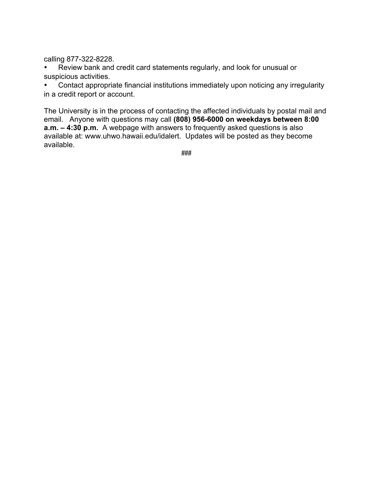calling 877-322-8228.

Review bank and credit card statements regularly, and look for unusual or suspicious activities.

• Contact appropriate financial institutions immediately upon noticing any irregularity in a credit report or account.

The University is in the process of contacting the affected individuals by postal mail and email. Anyone with questions may call **(808) 956-6000 on weekdays between 8:00 a.m. – 4:30 p.m.** A webpage with answers to frequently asked questions is also available at: www.uhwo.hawaii.edu/idalert. Updates will be posted as they become available.

###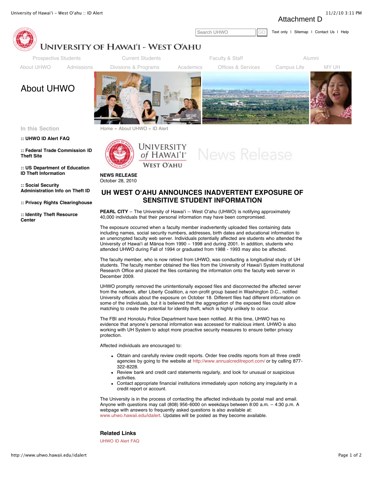Attachment D



#### **[:: UHWO ID Alert FAQ](http://www.uhwo.hawaii.edu/idalertfaq)**

**[:: Federal Trade Commission ID](http://www.ftc.gov/bcp/edu/microsites/idtheft/) Theft Site**

**[:: US Department of Education](http://www2.ed.gov/about/offices/list/oig/misused/idtheft.html) ID Theft Information**

**:: Social Security [Administration Info on Theft ID](http://www.socialsecurity.gov/pubs/10064.html)**

**[:: Privacy Rights Clearinghouse](http://www.privacyrights.org/fs/fs17b-SecurityBreach.htm)**

**[:: Identity Theft Resource](http://idtheftcenter.org/) Center**





**NEWS RELEASE** October 28, 2010

### **UH WEST OʻAHU ANNOUNCES INADVERTENT EXPOSURE OF SENSITIVE STUDENT INFORMATION**

**PEARL CITY** – The University of Hawai'i -- West O'ahu (UHWO) is notifying approximately 40,000 individuals that their personal information may have been compromised.

The exposure occurred when a faculty member inadvertently uploaded files containing data including names, social security numbers, addresses, birth dates and educational information to an unencrypted faculty web server. Individuals potentially affected are students who attended the University of Hawaiʻi at Mānoa from 1990 – 1998 and during 2001. In addition, students who attended UHWO during Fall of 1994 or graduated from 1988 - 1993 may also be affected.

The faculty member, who is now retired from UHWO, was conducting a longitudinal study of UH students. The faculty member obtained the files from the University of Hawaiʻi System Institutional Research Office and placed the files containing the information onto the faculty web server in December 2009.

UHWO promptly removed the unintentionally exposed files and disconnected the affected server from the network, after Liberty Coalition, a non-profit group based in Washington D.C., notified University officials about the exposure on October 18. Different files had different information on some of the individuals, but it is believed that the aggregation of the exposed files could allow matching to create the potential for identity theft, which is highly unlikely to occur.

The FBI and Honolulu Police Department have been notified. At this time, UHWO has no evidence that anyone's personal information was accessed for malicious intent. UHWO is also working with UH System to adopt more proactive security measures to ensure better privacy protection.

Affected individuals are encouraged to:

- Obtain and carefully review credit reports. Order free credits reports from all three credit agencies by going to the website at <http://www.annualcreditreport.com/> or by calling 877- 322-8228.
- Review bank and credit card statements regularly, and look for unusual or suspicious activities.
- Contact appropriate financial institutions immediately upon noticing any irregularity in a credit report or account.

The University is in the process of contacting the affected individuals by postal mail and email. Anyone with questions may call (808) 956-6000 on weekdays between 8:00 a.m. – 4:30 p.m. A webpage with answers to frequently asked questions is also available at: [www.uhwo.hawaii.edu/idalert](http://www.uhwo.hawaii.edu/idalert). Updates will be posted as they become available.

#### **Related Links**

[UHWO ID Alert FAQ](http://www.uhwo.hawaii.edu/idalertfaq)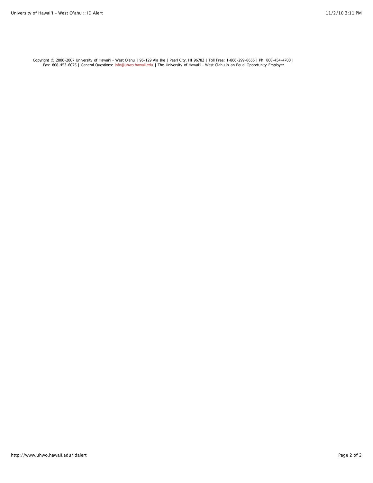Copyright © 2006-2007 University of Hawai'i - West O'ahu | 96-129 Ala Ike | Pearl City, HI 96782 | Toll Free: 1-866-299-8656 | Ph: 808-454-4700 |<br>Fax: 808-453-6075 | General Questions: [info@uhwo.hawaii.edu](mailto:info@uhwo.hawaii.edu) | The University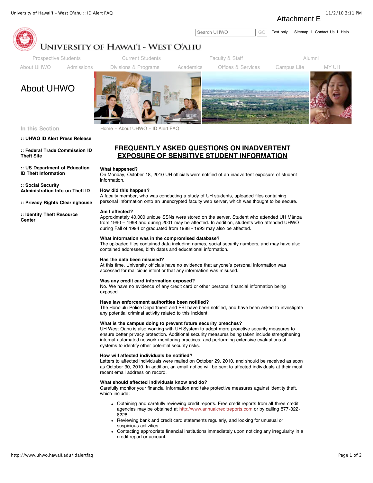Attachment E



In this Section **Example 3 [Home](http://www.uhwo.hawaii.edu/home) »** [About UHWO](http://www.uhwo.hawaii.edu/about) » ID Alert FAQ

#### **[:: UHWO ID Alert Press Release](http://www.uhwo.hawaii.edu/idalert)**

**[:: Federal Trade Commission ID](http://www.ftc.gov/bcp/edu/microsites/idtheft/) Theft Site**

**[:: US Department of Education](http://www2.ed.gov/about/offices/list/oig/misused/idtheft.html) ID Theft Information**

**:: Social Security [Administration Info on Theft ID](http://www.socialsecurity.gov/pubs/10064.html)**

**[:: Privacy Rights Clearinghouse](http://www.privacyrights.org/fs/fs17b-SecurityBreach.htm)**

**[:: Identity Theft Resource](http://idtheftcenter.org/) Center**



# **EXPOSURE OF SENSITIVE STUDENT INFORMATION**

#### **What happened?**

On Monday, October 18, 2010 UH officials were notified of an inadvertent exposure of student information.

#### **How did this happen?**

A faculty member, who was conducting a study of UH students, uploaded files containing personal information onto an unencrypted faculty web server, which was thought to be secure.

#### **Am I affected?**

Approximately 40,000 unique SSNs were stored on the server. Student who attended UH Mānoa from 1990 – 1998 and during 2001 may be affected. In addition, students who attended UHWO during Fall of 1994 or graduated from 1988 - 1993 may also be affected.

#### **What information was in the compromised database?**

The uploaded files contained data including names, social security numbers, and may have also contained addresses, birth dates and educational information.

#### **Has the data been misused?**

At this time, University officials have no evidence that anyone's personal information was accessed for malicious intent or that any information was misused.

#### **Was any credit card information exposed?**

No. We have no evidence of any credit card or other personal financial information being exposed.

#### **Have law enforcement authorities been notified?**

The Honolulu Police Department and FBI have been notified, and have been asked to investigate any potential criminal activity related to this incident.

#### **What is the campus doing to prevent future security breaches?**

UH West Oahu is also working with UH System to adopt more proactive security measures to ensure better privacy protection. Additional security measures being taken include strengthening internal automated network monitoring practices, and performing extensive evaluations of systems to identify other potential security risks.

#### **How will affected individuals be notified?**

Letters to affected individuals were mailed on October 29, 2010, and should be received as soon as October 30, 2010. In addition, an email notice will be sent to affected individuals at their most recent email address on record.

#### **What should affected individuals know and do?**

Carefully monitor your financial information and take protective measures against identity theft, which include:

- Obtaining and carefully reviewing credit reports. Free credit reports from all three credit agencies may be obtained at [http://www.annualcreditreports.com](http://www.annualcreditreports.com/) or by calling 877-322- 8228.
- Reviewing bank and credit card statements regularly, and looking for unusual or suspicious activities.
- Contacting appropriate financial institutions immediately upon noticing any irregularity in a credit report or account.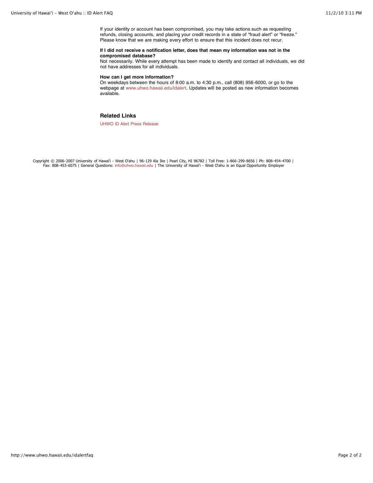If your identity or account has been compromised, you may take actions such as requesting refunds, closing accounts, and placing your credit records in a state of "fraud alert" or "freeze." Please know that we are making every effort to ensure that this incident does not recur.

#### **If I did not receive a notification letter, does that mean my information was not in the compromised database?**

Not necessarily. While every attempt has been made to identify and contact all individuals, we did not have addresses for all individuals.

#### **How can I get more information?**

On weekdays between the hours of 8:00 a.m. to 4:30 p.m., call (808) 956-6000, or go to the webpage at [www.uhwo.hawaii.edu/idalert.](http://www.uhwo.hawaii.edu/idalert) Updates will be posted as new information becomes available.

#### **Related Links**

[UHWO ID Alert Press Release](http://www.uhwo.hawaii.edu/idalert)

Copyright © 2006-2007 University of Hawai'i - West O'ahu | 96-129 Ala Ike | Pearl City, HI 96782 | Toll Free: 1-866-299-8656 | Ph: 808-454-4700 | Fax: 808-453-6075 | General Questions: [info@uhwo.hawaii.edu](mailto:info@uhwo.hawaii.edu) | The University of Hawai'i - West O'ahu is an Equal Opportunity Employer